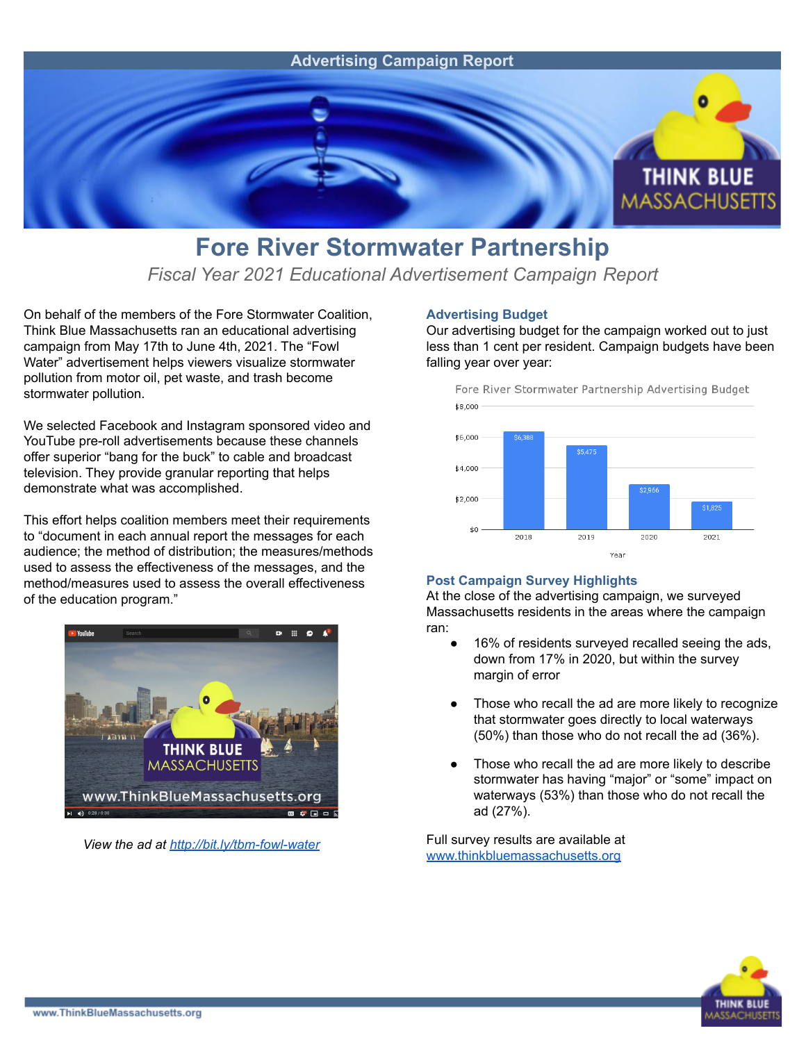

## **Fore River Stormwater Partnership**

*Fiscal Year 2021 Educational Advertisement Campaign Report*

On behalf of the members of the Fore Stormwater Coalition, Think Blue Massachusetts ran an educational advertising campaign from May 17th to June 4th, 2021. The "Fowl Water" advertisement helps viewers visualize stormwater pollution from motor oil, pet waste, and trash become stormwater pollution.

We selected Facebook and Instagram sponsored video and YouTube pre-roll advertisements because these channels offer superior "bang for the buck" to cable and broadcast television. They provide granular reporting that helps demonstrate what was accomplished.

This effort helps coalition members meet their requirements to "document in each annual report the messages for each audience; the method of distribution; the measures/methods used to assess the effectiveness of the messages, and the method/measures used to assess the overall effectiveness of the education program."



*View the ad at <http://bit.ly/tbm-fowl-water>*

## **Advertising Budget**

Our advertising budget for the campaign worked out to just less than 1 cent per resident. Campaign budgets have been falling year over year:



## **Post Campaign Survey Highlights**

At the close of the advertising campaign, we surveyed Massachusetts residents in the areas where the campaign ran:

- 16% of residents surveyed recalled seeing the ads, down from 17% in 2020, but within the survey margin of error
- Those who recall the ad are more likely to recognize that stormwater goes directly to local waterways (50%) than those who do not recall the ad (36%).
- Those who recall the ad are more likely to describe stormwater has having "major" or "some" impact on waterways (53%) than those who do not recall the ad (27%).

Full survey results are available at [www.thinkbluemassachusetts.org](http://www.thinkbluemassachusetts.org)